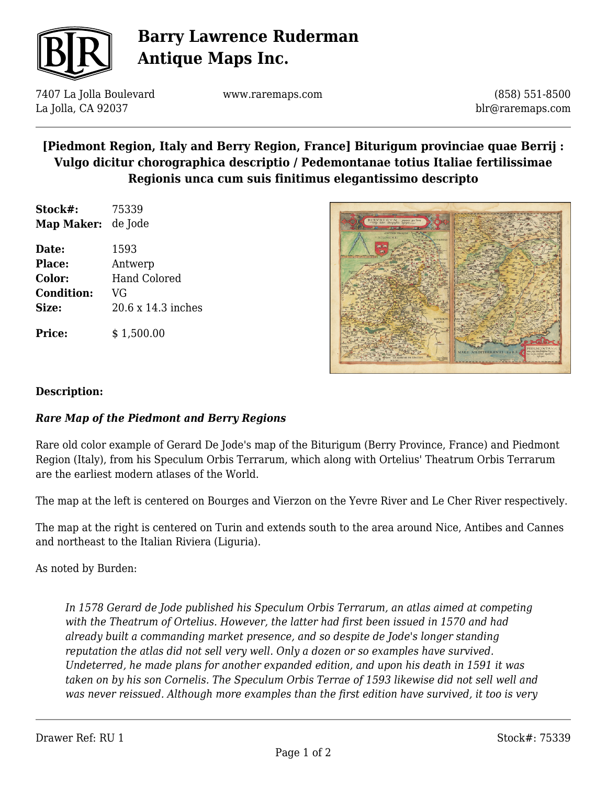

# **Barry Lawrence Ruderman Antique Maps Inc.**

7407 La Jolla Boulevard La Jolla, CA 92037

www.raremaps.com

(858) 551-8500 blr@raremaps.com

## **[Piedmont Region, Italy and Berry Region, France] Biturigum provinciae quae Berrij : Vulgo dicitur chorographica descriptio / Pedemontanae totius Italiae fertilissimae Regionis unca cum suis finitimus elegantissimo descripto**

**Stock#:** 75339 **Map Maker:** de Jode

**Date:** 1593 **Place:** Antwerp **Color:** Hand Colored **Condition:** VG **Size:** 20.6 x 14.3 inches

**Price:**  $$ 1,500.00$ 



#### **Description:**

### *Rare Map of the Piedmont and Berry Regions*

Rare old color example of Gerard De Jode's map of the Biturigum (Berry Province, France) and Piedmont Region (Italy), from his Speculum Orbis Terrarum, which along with Ortelius' Theatrum Orbis Terrarum are the earliest modern atlases of the World.

The map at the left is centered on Bourges and Vierzon on the Yevre River and Le Cher River respectively.

The map at the right is centered on Turin and extends south to the area around Nice, Antibes and Cannes and northeast to the Italian Riviera (Liguria).

As noted by Burden:

*In 1578 Gerard de Jode published his Speculum Orbis Terrarum, an atlas aimed at competing with the Theatrum of Ortelius. However, the latter had first been issued in 1570 and had already built a commanding market presence, and so despite de Jode's longer standing reputation the atlas did not sell very well. Only a dozen or so examples have survived. Undeterred, he made plans for another expanded edition, and upon his death in 1591 it was taken on by his son Cornelis. The Speculum Orbis Terrae of 1593 likewise did not sell well and was never reissued. Although more examples than the first edition have survived, it too is very*